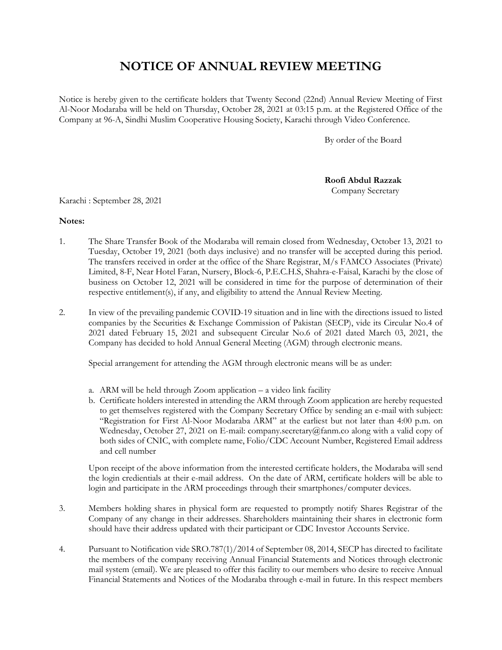## **NOTICE OF ANNUAL REVIEW MEETING**

Notice is hereby given to the certificate holders that Twenty Second (22nd) Annual Review Meeting of First Al-Noor Modaraba will be held on Thursday, October 28, 2021 at 03:15 p.m. at the Registered Office of the Company at 96-A, Sindhi Muslim Cooperative Housing Society, Karachi through Video Conference.

By order of the Board

**Roofi Abdul Razzak** Company Secretary

Karachi : September 28, 2021

## **Notes:**

- 1. The Share Transfer Book of the Modaraba will remain closed from Wednesday, October 13, 2021 to Tuesday, October 19, 2021 (both days inclusive) and no transfer will be accepted during this period. The transfers received in order at the office of the Share Registrar, M/s FAMCO Associates (Private) Limited, 8-F, Near Hotel Faran, Nursery, Block-6, P.E.C.H.S, Shahra-e-Faisal, Karachi by the close of business on October 12, 2021 will be considered in time for the purpose of determination of their respective entitlement(s), if any, and eligibility to attend the Annual Review Meeting.
- 2. In view of the prevailing pandemic COVID-19 situation and in line with the directions issued to listed companies by the Securities & Exchange Commission of Pakistan (SECP), vide its Circular No.4 of 2021 dated February 15, 2021 and subsequent Circular No.6 of 2021 dated March 03, 2021, the Company has decided to hold Annual General Meeting (AGM) through electronic means.

Special arrangement for attending the AGM through electronic means will be as under:

- a. ARM will be held through Zoom application a video link facility
- b. Certificate holders interested in attending the ARM through Zoom application are hereby requested to get themselves registered with the Company Secretary Office by sending an e-mail with subject: "Registration for First Al-Noor Modaraba ARM" at the earliest but not later than 4:00 p.m. on Wednesday, October 27, 2021 on E-mail: company.secretary@fanm.co along with a valid copy of both sides of CNIC, with complete name, Folio/CDC Account Number, Registered Email address and cell number

Upon receipt of the above information from the interested certificate holders, the Modaraba will send the login credientials at their e-mail address. On the date of ARM, certificate holders will be able to login and participate in the ARM proceedings through their smartphones/computer devices.

- 3. Members holding shares in physical form are requested to promptly notify Shares Registrar of the Company of any change in their addresses. Shareholders maintaining their shares in electronic form should have their address updated with their participant or CDC Investor Accounts Service.
- 4. Pursuant to Notification vide SRO.787(1)/2014 of September 08, 2014, SECP has directed to facilitate the members of the company receiving Annual Financial Statements and Notices through electronic mail system (email). We are pleased to offer this facility to our members who desire to receive Annual Financial Statements and Notices of the Modaraba through e-mail in future. In this respect members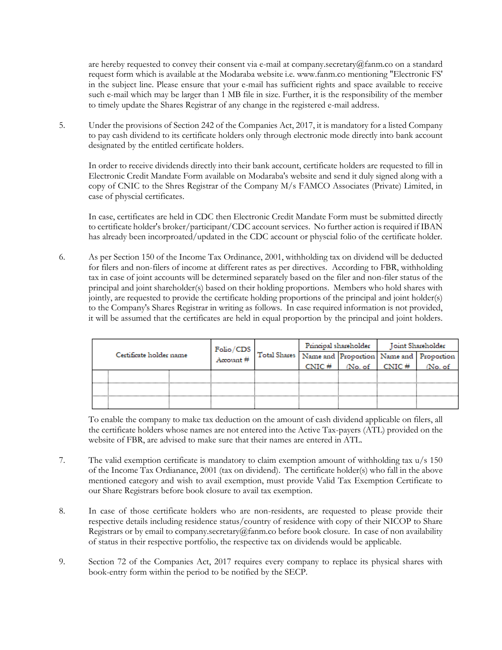are hereby requested to convey their consent via e-mail at company.secretary@fanm.co on a standard request form which is available at the Modaraba website i.e. www.fanm.co mentioning "Electronic FS' in the subject line. Please ensure that your e-mail has sufficient rights and space available to receive such e-mail which may be larger than 1 MB file in size. Further, it is the responsibility of the member to timely update the Shares Registrar of any change in the registered e-mail address.

5. Under the provisions of Section 242 of the Companies Act, 2017, it is mandatory for a listed Company to pay cash dividend to its certificate holders only through electronic mode directly into bank account designated by the entitled certificate holders.

In order to receive dividends directly into their bank account, certificate holders are requested to fill in Electronic Credit Mandate Form available on Modaraba's website and send it duly signed along with a copy of CNIC to the Shres Registrar of the Company M/s FAMCO Associates (Private) Limited, in case of physcial certificates.

In case, certificates are held in CDC then Electronic Credit Mandate Form must be submitted directly to certificate holder's broker/participant/CDC account services. No further action is required if IBAN has already been incorproated/updated in the CDC account or physcial folio of the certificate holder.

6. As per Section 150 of the Income Tax Ordinance, 2001, withholding tax on dividend will be deducted for filers and non-filers of income at different rates as per directives. According to FBR, withholding tax in case of joint accounts will be determined separately based on the filer and non-filer status of the principal and joint shareholder(s) based on their holding proportions. Members who hold shares with jointly, are requested to provide the certificate holding proportions of the principal and joint holder(s) to the Company's Shares Registrar in writing as follows. In case required information is not provided, it will be assumed that the certificates are held in equal proportion by the principal and joint holders.

| Certificate holder name |  | Folio / CDS<br>$A$ ccount $#$ | Total Shares Name and Proportion Name and Proportion | Principal shareholder |        | Joint Shareholder |        |
|-------------------------|--|-------------------------------|------------------------------------------------------|-----------------------|--------|-------------------|--------|
|                         |  |                               |                                                      |                       |        |                   |        |
|                         |  |                               |                                                      | $CNIC$ #              | No. of | $CNIC$ #          | No. of |
|                         |  |                               |                                                      |                       |        |                   |        |
|                         |  |                               |                                                      |                       |        |                   |        |
|                         |  |                               |                                                      |                       |        |                   |        |

To enable the company to make tax deduction on the amount of cash dividend applicable on filers, all the certificate holders whose names are not entered into the Active Tax-payers (ATL) provided on the website of FBR, are advised to make sure that their names are entered in ATL.

- 7. The valid exemption certificate is mandatory to claim exemption amount of withholding tax u/s 150 of the Income Tax Ordianance, 2001 (tax on dividend). The certificate holder(s) who fall in the above mentioned category and wish to avail exemption, must provide Valid Tax Exemption Certificate to our Share Registrars before book closure to avail tax exemption.
- 8. In case of those certificate holders who are non-residents, are requested to please provide their respective details including residence status/country of residence with copy of their NICOP to Share Registrars or by email to company.secretary@fanm.co before book closure. In case of non availability of status in their respective portfolio, the respective tax on dividends would be applicable.
- 9. Section 72 of the Companies Act, 2017 requires every company to replace its physical shares with book-entry form within the period to be notified by the SECP.